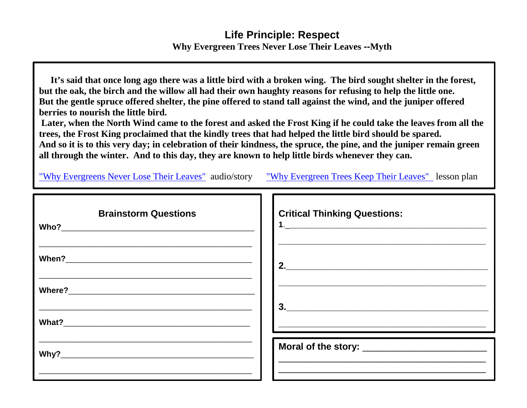## **Life Principle: Respect Why Evergreen Trees Never Lose Their Leaves --Myth**

 **It's said that once long ago there was a little bird with a broken wing. The bird sought shelter in the forest, but the oak, the birch and the willow all had their own haughty reasons for refusing to help the little one. But the gentle spruce offered shelter, the pine offered to stand tall against the wind, and the juniper offered berries to nourish the little bird.** 

**Later, when the North Wind came to the forest and asked the Frost King if he could take the leaves from all the trees, the Frost King proclaimed that the kindly trees that had helped the little bird should be spared. And so it is to this very day; in celebration of their kindness, the spruce, the pine, and the juniper remain green all through the winter. And to this day, they are known to help little birds whenever they can.**

["Why Evergreens Never Lose Their Leaves"](http://etc.usf.edu/lit2go/68/fairy-tales-and-other-traditional-stories/5109/why-the-evergreen-trees-keep-their-leaves-in-winter/) audio/story ["Why Evergreen Trees Keep Their Leaves"](http://www.mikelockett.com/downloads/Lesson_Plan_for_Why_Evergreen_Trees_Keep_Their_Leaves.pdf) lesson plan

| <b>Brainstorm Questions</b> | <b>Critical Thinking Questions:</b>                                                                                  |
|-----------------------------|----------------------------------------------------------------------------------------------------------------------|
|                             | $\overline{\mathbf{c}}$                                                                                              |
|                             |                                                                                                                      |
|                             | <u> 2002 - Jan James James Jan James James James James James James James James James James James James James Jam</u> |
|                             |                                                                                                                      |